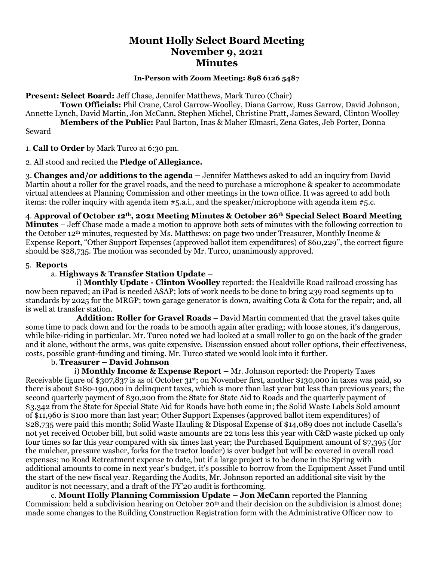# **Mount Holly Select Board Meeting November 9, 2021 Minutes**

#### **In-Person with Zoom Meeting: 898 6126 5487**

**Present: Select Board:** Jeff Chase, Jennifer Matthews, Mark Turco (Chair)

 **Town Officials:** Phil Crane, Carol Garrow-Woolley, Diana Garrow, Russ Garrow, David Johnson, Annette Lynch, David Martin, Jon McCann, Stephen Michel, Christine Pratt, James Seward, Clinton Woolley **Members of the Public:** Paul Barton, Inas & Maher Elmasri, Zena Gates, Jeb Porter, Donna

Seward

1. **Call to Order** by Mark Turco at 6:30 pm.

2. All stood and recited the **Pledge of Allegiance.**

3. **Changes and/or additions to the agenda –** Jennifer Matthews asked to add an inquiry from David Martin about a roller for the gravel roads, and the need to purchase a microphone & speaker to accommodate virtual attendees at Planning Commission and other meetings in the town office. It was agreed to add both items: the roller inquiry with agenda item #5.a.i., and the speaker/microphone with agenda item #5.c.

4. **Approval of October 12th, 2021 Meeting Minutes & October 26th Special Select Board Meeting Minutes** – Jeff Chase made a made a motion to approve both sets of minutes with the following correction to the October 12th minutes, requested by Ms. Matthews: on page two under Treasurer, Monthly Income & Expense Report, "Other Support Expenses (approved ballot item expenditures) of \$60,229", the correct figure should be \$28,735. The motion was seconded by Mr. Turco, unanimously approved.

### 5. **Reports**

### a. **Highways & Transfer Station Update –**

i) **Monthly Update - Clinton Woolley** reported: the Healdville Road railroad crossing has now been repaved; an iPad is needed ASAP; lots of work needs to be done to bring 239 road segments up to standards by 2025 for the MRGP; town garage generator is down, awaiting Cota & Cota for the repair; and, all is well at transfer station.

**Addition: Roller for Gravel Roads** – David Martin commented that the gravel takes quite some time to pack down and for the roads to be smooth again after grading; with loose stones, it's dangerous, while bike-riding in particular. Mr. Turco noted we had looked at a small roller to go on the back of the grader and it alone, without the arms, was quite expensive. Discussion ensued about roller options, their effectiveness, costs, possible grant-funding and timing. Mr. Turco stated we would look into it further.

## b. **Treasurer – David Johnson**

 i) **Monthly Income & Expense Report –** Mr. Johnson reported: the Property Taxes Receivable figure of \$307,837 is as of October 31st; on November first, another \$130,000 in taxes was paid, so there is about \$180-190,000 in delinquent taxes, which is more than last year but less than previous years; the second quarterly payment of \$30,200 from the State for State Aid to Roads and the quarterly payment of \$3,342 from the State for Special State Aid for Roads have both come in; the Solid Waste Labels Sold amount of \$11,960 is \$100 more than last year; Other Support Expenses (approved ballot item expenditures) of \$28,735 were paid this month; Solid Waste Hauling & Disposal Expense of \$14,089 does not include Casella's not yet received October bill, but solid waste amounts are 22 tons less this year with C&D waste picked up only four times so far this year compared with six times last year; the Purchased Equipment amount of \$7,395 (for the mulcher, pressure washer, forks for the tractor loader) is over budget but will be covered in overall road expenses; no Road Retreatment expense to date, but if a large project is to be done in the Spring with additional amounts to come in next year's budget, it's possible to borrow from the Equipment Asset Fund until the start of the new fiscal year. Regarding the Audits, Mr. Johnson reported an additional site visit by the auditor is not necessary, and a draft of the FY'20 audit is forthcoming.

c. **Mount Holly Planning Commission Update – Jon McCann** reported the Planning Commission: held a subdivision hearing on October 20th and their decision on the subdivision is almost done; made some changes to the Building Construction Registration form with the Administrative Officer now to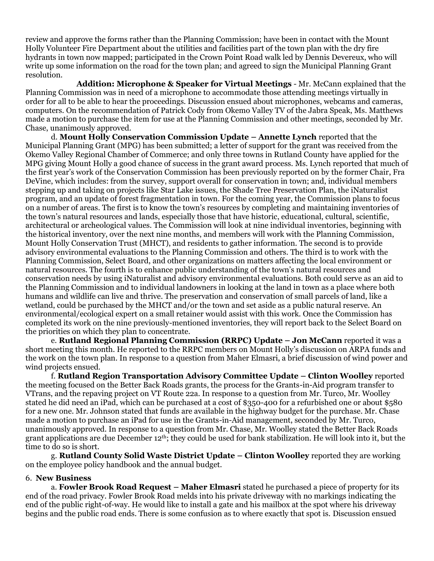review and approve the forms rather than the Planning Commission; have been in contact with the Mount Holly Volunteer Fire Department about the utilities and facilities part of the town plan with the dry fire hydrants in town now mapped; participated in the Crown Point Road walk led by Dennis Devereux, who will write up some information on the road for the town plan; and agreed to sign the Municipal Planning Grant resolution.

**Addition: Microphone & Speaker for Virtual Meetings** - Mr. McCann explained that the Planning Commission was in need of a microphone to accommodate those attending meetings virtually in order for all to be able to hear the proceedings. Discussion ensued about microphones, webcams and cameras, computers. On the recommendation of Patrick Cody from Okemo Valley TV of the Jabra Speak, Ms. Matthews made a motion to purchase the item for use at the Planning Commission and other meetings, seconded by Mr. Chase, unanimously approved.

d. **Mount Holly Conservation Commission Update – Annette Lynch** reported that the Municipal Planning Grant (MPG) has been submitted; a letter of support for the grant was received from the Okemo Valley Regional Chamber of Commerce; and only three towns in Rutland County have applied for the MPG giving Mount Holly a good chance of success in the grant award process. Ms. Lynch reported that much of the first year's work of the Conservation Commission has been previously reported on by the former Chair, Fra DeVine, which includes: from the survey, support overall for conservation in town; and, individual members stepping up and taking on projects like Star Lake issues, the Shade Tree Preservation Plan, the iNaturalist program, and an update of forest fragmentation in town. For the coming year, the Commission plans to focus on a number of areas. The first is to know the town's resources by completing and maintaining inventories of the town's natural resources and lands, especially those that have historic, educational, cultural, scientific, architectural or archeological values. The Commission will look at nine individual inventories, beginning with the historical inventory, over the next nine months, and members will work with the Planning Commission, Mount Holly Conservation Trust (MHCT), and residents to gather information. The second is to provide advisory environmental evaluations to the Planning Commission and others. The third is to work with the Planning Commission, Select Board, and other organizations on matters affecting the local environment or natural resources. The fourth is to enhance public understanding of the town's natural resources and conservation needs by using iNaturalist and advisory environmental evaluations. Both could serve as an aid to the Planning Commission and to individual landowners in looking at the land in town as a place where both humans and wildlife can live and thrive. The preservation and conservation of small parcels of land, like a wetland, could be purchased by the MHCT and/or the town and set aside as a public natural reserve. An environmental/ecological expert on a small retainer would assist with this work. Once the Commission has completed its work on the nine previously-mentioned inventories, they will report back to the Select Board on the priorities on which they plan to concentrate.

e. **Rutland Regional Planning Commission (RRPC) Update – Jon McCann** reported it was a short meeting this month. He reported to the RRPC members on Mount Holly's discussion on ARPA funds and the work on the town plan. In response to a question from Maher Elmasri, a brief discussion of wind power and wind projects ensued.

f. **Rutland Region Transportation Advisory Committee Update – Clinton Woolley** reported the meeting focused on the Better Back Roads grants, the process for the Grants-in-Aid program transfer to VTrans, and the repaving project on VT Route 22a. In response to a question from Mr. Turco, Mr. Woolley stated he did need an iPad, which can be purchased at a cost of \$350-400 for a refurbished one or about \$580 for a new one. Mr. Johnson stated that funds are available in the highway budget for the purchase. Mr. Chase made a motion to purchase an iPad for use in the Grants-in-Aid management, seconded by Mr. Turco, unanimously approved. In response to a question from Mr. Chase, Mr. Woolley stated the Better Back Roads grant applications are due December 12th; they could be used for bank stabilization. He will look into it, but the time to do so is short.

g. **Rutland County Solid Waste District Update – Clinton Woolley** reported they are working on the employee policy handbook and the annual budget.

### 6. **New Business**

a. **Fowler Brook Road Request – Maher Elmasri** stated he purchased a piece of property for its end of the road privacy. Fowler Brook Road melds into his private driveway with no markings indicating the end of the public right-of-way. He would like to install a gate and his mailbox at the spot where his driveway begins and the public road ends. There is some confusion as to where exactly that spot is. Discussion ensued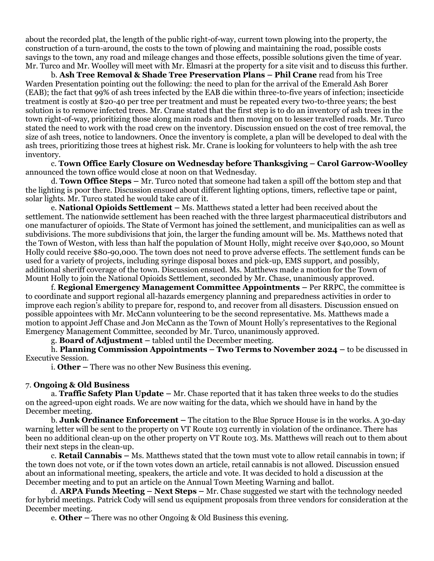about the recorded plat, the length of the public right-of-way, current town plowing into the property, the construction of a turn-around, the costs to the town of plowing and maintaining the road, possible costs savings to the town, any road and mileage changes and those effects, possible solutions given the time of year. Mr. Turco and Mr. Woolley will meet with Mr. Elmasri at the property for a site visit and to discuss this further.

b*.* **Ash Tree Removal & Shade Tree Preservation Plans – Phil Crane** read from his Tree Warden Presentation pointing out the following: the need to plan for the arrival of the Emerald Ash Borer (EAB); the fact that 99% of ash trees infected by the EAB die within three-to-five years of infection; insecticide treatment is costly at \$20-40 per tree per treatment and must be repeated every two-to-three years; the best solution is to remove infected trees. Mr. Crane stated that the first step is to do an inventory of ash trees in the town right-of-way, prioritizing those along main roads and then moving on to lesser travelled roads. Mr. Turco stated the need to work with the road crew on the inventory. Discussion ensued on the cost of tree removal, the size of ash trees, notice to landowners. Once the inventory is complete, a plan will be developed to deal with the ash trees, prioritizing those trees at highest risk. Mr. Crane is looking for volunteers to help with the ash tree inventory.

c. **Town Office Early Closure on Wednesday before Thanksgiving – Carol Garrow-Woolley** announced the town office would close at noon on that Wednesday.

d. **Town Office Steps –** Mr. Turco noted that someone had taken a spill off the bottom step and that the lighting is poor there. Discussion ensued about different lighting options, timers, reflective tape or paint, solar lights. Mr. Turco stated he would take care of it.

e. **National Opioids Settlement –** Ms. Matthews stated a letter had been received about the settlement. The nationwide settlement has been reached with the three largest pharmaceutical distributors and one manufacturer of opioids. The State of Vermont has joined the settlement, and municipalities can as well as subdivisions. The more subdivisions that join, the larger the funding amount will be. Ms. Matthews noted that the Town of Weston, with less than half the population of Mount Holly, might receive over \$40,000, so Mount Holly could receive \$80-90,000. The town does not need to prove adverse effects. The settlement funds can be used for a variety of projects, including syringe disposal boxes and pick-up, EMS support, and possibly, additional sheriff coverage of the town. Discussion ensued. Ms. Matthews made a motion for the Town of Mount Holly to join the National Opioids Settlement, seconded by Mr. Chase, unanimously approved.

f. **Regional Emergency Management Committee Appointments –** Per RRPC, the committee is to coordinate and support regional all-hazards emergency planning and preparedness activities in order to improve each region's ability to prepare for, respond to, and recover from all disasters. Discussion ensued on possible appointees with Mr. McCann volunteering to be the second representative. Ms. Matthews made a motion to appoint Jeff Chase and Jon McCann as the Town of Mount Holly's representatives to the Regional Emergency Management Committee, seconded by Mr. Turco, unanimously approved.

g. **Board of Adjustment –** tabled until the December meeting.

h. **Planning Commission Appointments – Two Terms to November 2024 –** to be discussed in Executive Session.

i. **Other –** There was no other New Business this evening.

#### 7. **Ongoing & Old Business**

a. **Traffic Safety Plan Update –** Mr. Chase reported that it has taken three weeks to do the studies on the agreed-upon eight roads. We are now waiting for the data, which we should have in hand by the December meeting.

b. **Junk Ordinance Enforcement –** The citation to the Blue Spruce House is in the works. A 30-day warning letter will be sent to the property on VT Route 103 currently in violation of the ordinance. There has been no additional clean-up on the other property on VT Route 103. Ms. Matthews will reach out to them about their next steps in the clean-up.

c. **Retail Cannabis –** Ms. Matthews stated that the town must vote to allow retail cannabis in town; if the town does not vote, or if the town votes down an article, retail cannabis is not allowed. Discussion ensued about an informational meeting, speakers, the article and vote. It was decided to hold a discussion at the December meeting and to put an article on the Annual Town Meeting Warning and ballot.

d. **ARPA Funds Meeting – Next Steps –** Mr. Chase suggested we start with the technology needed for hybrid meetings. Patrick Cody will send us equipment proposals from three vendors for consideration at the December meeting.

e. **Other –** There was no other Ongoing & Old Business this evening.